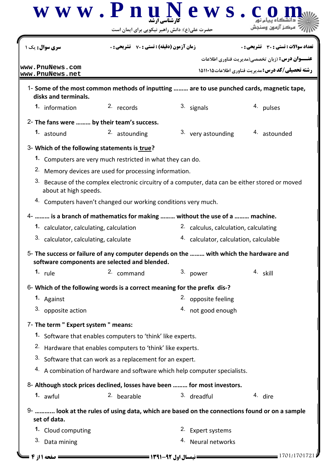| <b>سری سوال :</b> یک                                                                  | <b>زمان آزمون (دقیقه) : تستی : 70 ٪ تشریحی : .</b>                     |                                                                            | تعداد سوالات : تستي : 30 ٪ تشريحي : 0                                                                             |  |
|---------------------------------------------------------------------------------------|------------------------------------------------------------------------|----------------------------------------------------------------------------|-------------------------------------------------------------------------------------------------------------------|--|
| www.PnuNews.com                                                                       |                                                                        |                                                                            | <b>عنـــوان درس:</b> (زبان تخصصي(مديريت فناوري اطلاعات<br><b>رشته تحصیلی/کد درس:</b> مدیریت فناوری اطلاعات۱۵۱۱۰۱۵ |  |
| www.PnuNews.net                                                                       |                                                                        |                                                                            |                                                                                                                   |  |
| disks and terminals.                                                                  |                                                                        |                                                                            | 1- Some of the most common methods of inputting  are to use punched cards, magnetic tape,                         |  |
| 1. information                                                                        | 2. records                                                             | 3. signals                                                                 | 4. pulses                                                                                                         |  |
| 2- The fans were  by their team's success.                                            |                                                                        |                                                                            |                                                                                                                   |  |
| 1. astound                                                                            | 2. astounding                                                          | 3. very astounding                                                         | 4. astounded                                                                                                      |  |
| 3- Which of the following statements is true?                                         |                                                                        |                                                                            |                                                                                                                   |  |
|                                                                                       | 1. Computers are very much restricted in what they can do.             |                                                                            |                                                                                                                   |  |
|                                                                                       | <sup>2.</sup> Memory devices are used for processing information.      |                                                                            |                                                                                                                   |  |
| about at high speeds.                                                                 |                                                                        |                                                                            | 3. Because of the complex electronic circuitry of a computer, data can be either stored or moved                  |  |
|                                                                                       | 4. Computers haven't changed our working conditions very much.         |                                                                            |                                                                                                                   |  |
| 4-  is a branch of mathematics for making  without the use of a  machine.             |                                                                        |                                                                            |                                                                                                                   |  |
| 1. calculator, calculating, calculation                                               |                                                                        |                                                                            | <sup>2</sup> calculus, calculation, calculating                                                                   |  |
| 3. calculator, calculating, calculate                                                 |                                                                        | 4. calculator, calculation, calculable                                     |                                                                                                                   |  |
| 5- The success or failure of any computer depends on the  with which the hardware and | software components are selected and blended.                          |                                                                            |                                                                                                                   |  |
| 1. $rule$                                                                             | 2. command                                                             | 3. power                                                                   | 4. skill                                                                                                          |  |
| 6- Which of the following words is a correct meaning for the prefix dis-?             |                                                                        |                                                                            |                                                                                                                   |  |
| 1. Against                                                                            |                                                                        | 2. opposite feeling                                                        |                                                                                                                   |  |
| 3. opposite action                                                                    |                                                                        | 4. not good enough                                                         |                                                                                                                   |  |
| 7- The term " Expert system " means:                                                  |                                                                        |                                                                            |                                                                                                                   |  |
|                                                                                       | 1. Software that enables computers to 'think' like experts.            |                                                                            |                                                                                                                   |  |
|                                                                                       | <sup>2.</sup> Hardware that enables computers to 'think' like experts. |                                                                            |                                                                                                                   |  |
|                                                                                       | 3. Software that can work as a replacement for an expert.              |                                                                            |                                                                                                                   |  |
|                                                                                       |                                                                        | 4. A combination of hardware and software which help computer specialists. |                                                                                                                   |  |
| 8- Although stock prices declined, losses have been  for most investors.              |                                                                        |                                                                            |                                                                                                                   |  |
| 1. awful                                                                              | 2. bearable                                                            | 3. dreadful                                                                | 4. dire                                                                                                           |  |
|                                                                                       |                                                                        |                                                                            | 9-  look at the rules of using data, which are based on the connections found or on a sample                      |  |
| set of data.                                                                          |                                                                        |                                                                            |                                                                                                                   |  |
| 1. Cloud computing                                                                    |                                                                        | 2. Expert systems                                                          |                                                                                                                   |  |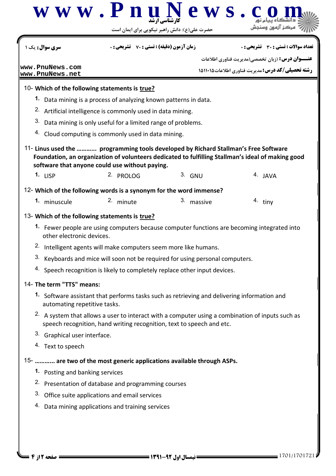| <b>سری سوال :</b> یک ۱                                              | <b>زمان آزمون (دقیقه) : تستی : 70 ٪ تشریحی : 0</b>                            |                                                                                                                                                                                      | تعداد سوالات : تستي : 30 ٪ تشريحي : 0                                                             |  |  |
|---------------------------------------------------------------------|-------------------------------------------------------------------------------|--------------------------------------------------------------------------------------------------------------------------------------------------------------------------------------|---------------------------------------------------------------------------------------------------|--|--|
| www.PnuNews.com                                                     |                                                                               |                                                                                                                                                                                      | <b>عنـــوان درس:</b> (زبان تخصصي(مديريت فناوري اطلاعات                                            |  |  |
| www.PnuNews.net                                                     |                                                                               |                                                                                                                                                                                      | رشته تحصیلی/کد درس: مدیریت فناوری اطلاعات ۱۵۱۱۰۱۵                                                 |  |  |
| 10- Which of the following statements is true?                      |                                                                               |                                                                                                                                                                                      |                                                                                                   |  |  |
|                                                                     | 1. Data mining is a process of analyzing known patterns in data.              |                                                                                                                                                                                      |                                                                                                   |  |  |
|                                                                     | <sup>2.</sup> Artificial intelligence is commonly used in data mining.        |                                                                                                                                                                                      |                                                                                                   |  |  |
| 3.                                                                  | Data mining is only useful for a limited range of problems.                   |                                                                                                                                                                                      |                                                                                                   |  |  |
|                                                                     | 4. Cloud computing is commonly used in data mining.                           |                                                                                                                                                                                      |                                                                                                   |  |  |
|                                                                     | software that anyone could use without paying.                                | 11- Linus used the  programming tools developed by Richard Stallman's Free Software                                                                                                  | Foundation, an organization of volunteers dedicated to fulfilling Stallman's ideal of making good |  |  |
| 1. $LISP$                                                           | 2. PROLOG                                                                     | $3.$ GNU                                                                                                                                                                             | 4. JAVA                                                                                           |  |  |
| 12- Which of the following words is a synonym for the word immense? |                                                                               |                                                                                                                                                                                      |                                                                                                   |  |  |
| 1. minuscule                                                        | 2. minute                                                                     | 3. massive                                                                                                                                                                           | $4.$ tiny                                                                                         |  |  |
| 13- Which of the following statements is true?                      |                                                                               |                                                                                                                                                                                      |                                                                                                   |  |  |
| other electronic devices.                                           |                                                                               | 1. Fewer people are using computers because computer functions are becoming integrated into                                                                                          |                                                                                                   |  |  |
|                                                                     | <sup>2.</sup> Intelligent agents will make computers seem more like humans.   |                                                                                                                                                                                      |                                                                                                   |  |  |
|                                                                     | 3. Keyboards and mice will soon not be required for using personal computers. |                                                                                                                                                                                      |                                                                                                   |  |  |
|                                                                     |                                                                               | 4. Speech recognition is likely to completely replace other input devices.                                                                                                           |                                                                                                   |  |  |
| 14- The term "TTS" means:                                           |                                                                               |                                                                                                                                                                                      |                                                                                                   |  |  |
| automating repetitive tasks.                                        |                                                                               | 1. Software assistant that performs tasks such as retrieving and delivering information and                                                                                          |                                                                                                   |  |  |
|                                                                     |                                                                               | <sup>2.</sup> A system that allows a user to interact with a computer using a combination of inputs such as<br>speech recognition, hand writing recognition, text to speech and etc. |                                                                                                   |  |  |
| <sup>3.</sup> Graphical user interface.                             |                                                                               |                                                                                                                                                                                      |                                                                                                   |  |  |
| <sup>4</sup> Text to speech                                         |                                                                               |                                                                                                                                                                                      |                                                                                                   |  |  |
|                                                                     |                                                                               | 15-  are two of the most generic applications available through ASPs.                                                                                                                |                                                                                                   |  |  |
| 1. Posting and banking services                                     |                                                                               |                                                                                                                                                                                      |                                                                                                   |  |  |
|                                                                     | <sup>2.</sup> Presentation of database and programming courses                |                                                                                                                                                                                      |                                                                                                   |  |  |
|                                                                     | 3. Office suite applications and email services                               |                                                                                                                                                                                      |                                                                                                   |  |  |
|                                                                     | 4. Data mining applications and training services                             |                                                                                                                                                                                      |                                                                                                   |  |  |
|                                                                     |                                                                               |                                                                                                                                                                                      |                                                                                                   |  |  |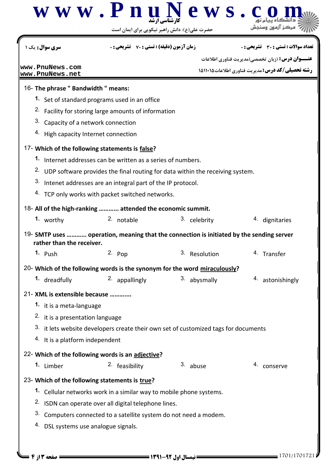